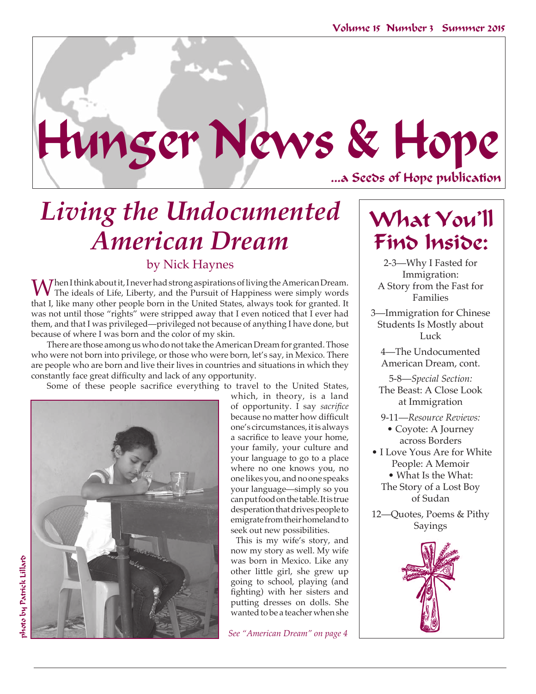*Living the Undocumented American Dream*

## by Nick Haynes

 $M$ hen I think about it, I never had strong aspirations of living the American Dream. The ideals of Life, Liberty, and the Pursuit of Happiness were simply words that I, like many other people born in the United States, always took for granted. It was not until those "rights" were stripped away that I even noticed that I ever had them, and that I was privileged—privileged not because of anything I have done, but because of where I was born and the color of my skin.

There are those among us who do not take the American Dream for granted. Those who were not born into privilege, or those who were born, let's say, in Mexico. There are people who are born and live their lives in countries and situations in which they constantly face great difficulty and lack of any opportunity.

Some of these people sacrifice everything to travel to the United States,



which, in theory, is a land of opportunity. I say *sacrifice* because no matter how difficult one's circumstances, it is always a sacrifice to leave your home, your family, your culture and your language to go to a place where no one knows you, no one likes you, and no one speaks your language—simply so you can put food on the table. It is true desperation that drives people to emigrate from their homeland to seek out new possibilities.

Hunger News & Hope

This is my wife's story, and now my story as well. My wife was born in Mexico. Like any other little girl, she grew up going to school, playing (and fighting) with her sisters and putting dresses on dolls. She wanted to be a teacher when she

*See "American Dream" on page 4*

# What You'll Find Inside:

...a Seeds of Hope publication

2-3—Why I Fasted for Immigration: A Story from the Fast for Families

3—Immigration for Chinese Students Is Mostly about  $L\nu$ 

4—The Undocumented American Dream, cont.

5-8—*Special Section:*  The Beast: A Close Look at Immigration

9-11—*Resource Reviews:* • Coyote: A Journey across Borders

 • I Love Yous Are for White People: A Memoir • What Is the What: The Story of a Lost Boy of Sudan

12—Quotes, Poems & Pithy Sayings

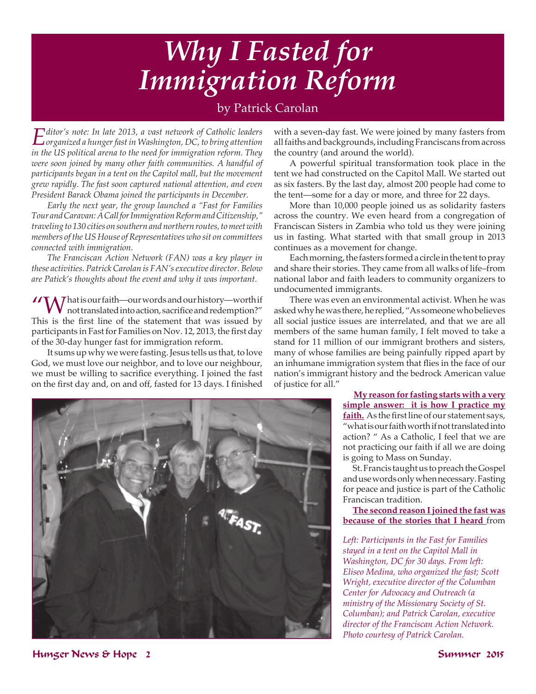# *Why I Fasted for Immigration Reform*

# by Patrick Carolan

*Editor's note: In late 2013, a vast network of Catholic leaders organized a hunger fast in Washington, DC, to bring attention in the US political arena to the need for immigration reform. They were soon joined by many other faith communities. A handful of participants began in a tent on the Capitol mall, but the movement grew rapidly. The fast soon captured national attention, and even President Barack Obama joined the participants in December.* 

*Early the next year, the group launched a "Fast for Families Tour and Caravan: A Call for Immigration Reform and Citizenship," traveling to 130 cities on southern and northern routes, to meet with members of the US House of Representatives who sit on committees connected with immigration.* 

*The Franciscan Action Network (FAN) was a key player in these activities. Patrick Carolan is FAN's executive director. Below are Patick's thoughts about the event and why it was important.* 

 $N$  hat is our faith—our words and our history—worth if not translated into action, sacrifice and redemption?" This is the first line of the statement that was issued by participants in Fast for Families on Nov. 12, 2013, the first day of the 30-day hunger fast for immigration reform.

It sums up why we were fasting. Jesus tells us that, to love God, we must love our neighbor, and to love our neighbour, we must be willing to sacrifice everything. I joined the fast on the first day and, on and off, fasted for 13 days. I finished

with a seven-day fast. We were joined by many fasters from all faiths and backgrounds, including Franciscans from across the country (and around the world).

A powerful spiritual transformation took place in the tent we had constructed on the Capitol Mall. We started out as six fasters. By the last day, almost 200 people had come to the tent—some for a day or more, and three for 22 days.

More than 10,000 people joined us as solidarity fasters across the country. We even heard from a congregation of Franciscan Sisters in Zambia who told us they were joining us in fasting. What started with that small group in 2013 continues as a movement for change.

Each morning, the fasters formed a circle in the tent to pray and share their stories. They came from all walks of life–from national labor and faith leaders to community organizers to undocumented immigrants.

There was even an environmental activist. When he was asked why he was there, he replied, "As someone who believes all social justice issues are interrelated, and that we are all members of the same human family, I felt moved to take a stand for 11 million of our immigrant brothers and sisters, many of whose families are being painfully ripped apart by an inhumane immigration system that flies in the face of our nation's immigrant history and the bedrock American value of justice for all."



 **My reason for fasting starts with a very simple answer: it is how I practice my faith.** As the first line of our statement says, "what is our faith worth if not translated into action? " As a Catholic, I feel that we are not practicing our faith if all we are doing is going to Mass on Sunday.

St. Francis taught us to preach the Gospel and use words only when necessary. Fasting for peace and justice is part of the Catholic Franciscan tradition.

**The second reason I joined the fast was because of the stories that I heard** from

*Left: Participants in the Fast for Families stayed in a tent on the Capitol Mall in Washington, DC for 30 days. From left: Eliseo Medina, who organized the fast; Scott Wright, executive director of the Columban Center for Advocacy and Outreach (a ministry of the Missionary Society of St. Columban); and Patrick Carolan, executive director of the Franciscan Action Network. Photo courtesy of Patrick Carolan.*

Hunger News & Hope 2 Summer 2015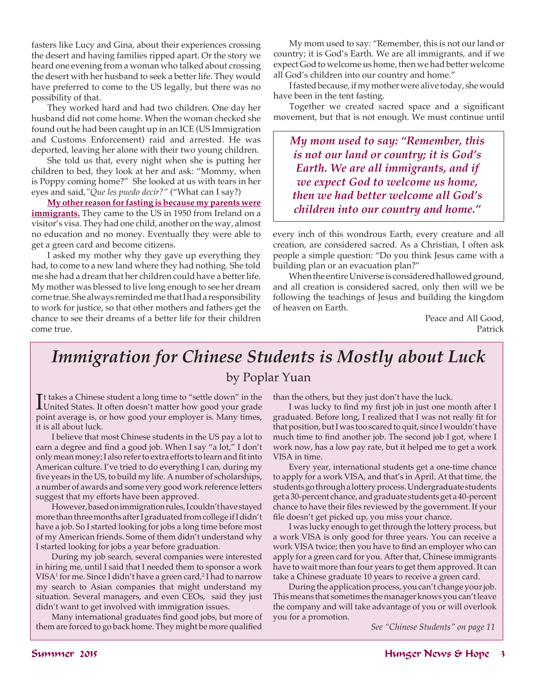fasters like Lucy and Gina, about their experiences crossing the desert and having families ripped apart. Or the story we heard one evening from a woman who talked about crossing the desert with her husband to seek a better life. They would have preferred to come to the US legally, but there was no possibility of that.

They worked hard and had two children. One day her husband did not come home. When the woman checked she found out he had been caught up in an ICE (US Immigration and Customs Enforcement) raid and arrested. He was deported, leaving her alone with their two young children.

She told us that, every night when she is putting her children to bed, they look at her and ask: "Mommy, when is Poppy coming home?" She looked at us with tears in her eyes and said,*"Que les puedo decir?"* ("What can I say?)

**My other reason for fasting is because my parents were**  immigrants. They came to the US in 1950 from Ireland on a visitor's visa. They had one child, another on the way, almost no education and no money. Eventually they were able to get a green card and become citizens.

I asked my mother why they gave up everything they had, to come to a new land where they had nothing. She told me she had a dream that her children could have a better life. My mother was blessed to live long enough to see her dream come true. She always reminded me that I had a responsibility to work for justice, so that other mothers and fathers get the chance to see their dreams of a better life for their children come true.

My mom used to say: "Remember, this is not our land or country; it is God's Earth. We are all immigrants, and if we expect God to welcome us home, then we had better welcome all God's children into our country and home."

I fasted because, if my mother were alive today, she would have been in the tent fasting.

Together we created sacred space and a significant movement, but that is not enough. We must continue until

*My mom used to say: "Remember, this is not our land or country; it is God's Earth. We are all immigrants, and if we expect God to welcome us home, then we had better welcome all God's children into our country and home."* 

every inch of this wondrous Earth, every creature and all creation, are considered sacred. As a Christian, I often ask people a simple question: "Do you think Jesus came with a building plan or an evacuation plan?"

When the entire Universe is considered hallowed ground, and all creation is considered sacred, only then will we be following the teachings of Jesus and building the kingdom of heaven on Earth.

> Peace and All Good, Patrick

# *Immigration for Chinese Students is Mostly about Luck* by Poplar Yuan

I United States. It often doesn't matter how good your grade **T**t takes a Chinese student a long time to "settle down" in the point average is, or how good your employer is. Many times, it is all about luck.

I believe that most Chinese students in the US pay a lot to earn a degree and find a good job. When I say "a lot," I don't only mean money; I also refer to extra efforts to learn and fit into American culture. I've tried to do everything I can, during my five years in the US, to build my life. A number of scholarships, a number of awards and some very good work reference letters suggest that my efforts have been approved.

However, based on immigration rules, I couldn't have stayed more than three months after I graduated from college if I didn't have a job. So I started looking for jobs a long time before most of my American friends. Some of them didn't understand why I started looking for jobs a year before graduation.

During my job search, several companies were interested in hiring me, until I said that I needed them to sponsor a work VISA<sup>1</sup> for me. Since I didn't have a green card,<sup>2</sup> I had to narrow my search to Asian companies that might understand my situation. Several managers, and even CEOs, said they just didn't want to get involved with immigration issues.

Many international graduates find good jobs, but more of them are forced to go back home. They might be more qualified than the others, but they just don't have the luck.

I was lucky to find my first job in just one month after I graduated. Before long, I realized that I was not really fit for that position, but I was too scared to quit, since I wouldn't have much time to find another job. The second job I got, where I work now, has a low pay rate, but it helped me to get a work VISA in time.

Every year, international students get a one-time chance to apply for a work VISA, and that's in April. At that time, the students go through a lottery process. Undergraduate students get a 30-percent chance, and graduate students get a 40-percent chance to have their files reviewed by the government. If your file doesn't get picked up, you miss your chance.

I was lucky enough to get through the lottery process, but a work VISA is only good for three years. You can receive a work VISA twice; then you have to find an employer who can apply for a green card for you. After that, Chinese immigrants have to wait more than four years to get them approved. It can take a Chinese graduate 10 years to receive a green card.

During the application process, you can't change your job. This means that sometimes the manager knows you can't leave the company and will take advantage of you or will overlook you for a promotion.

*See "Chinese Students" on page 11*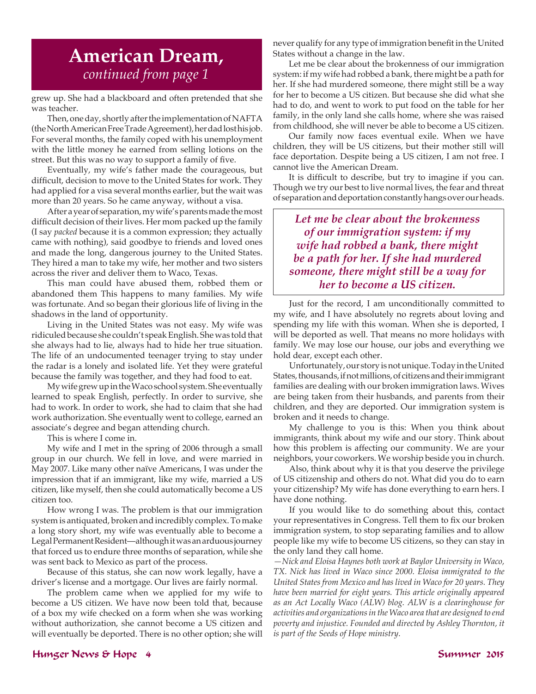# **American Dream,**  *continued from page 1*

grew up. She had a blackboard and often pretended that she was teacher.

Then, one day, shortly after the implementation of NAFTA (the North American Free Trade Agreement), her dad lost his job. For several months, the family coped with his unemployment with the little money he earned from selling lotions on the street. But this was no way to support a family of five.

Eventually, my wife's father made the courageous, but difficult, decision to move to the United States for work. They had applied for a visa several months earlier, but the wait was more than 20 years. So he came anyway, without a visa.

After a year of separation, my wife's parents made the most difficult decision of their lives. Her mom packed up the family (I say *packed* because it is a common expression; they actually came with nothing), said goodbye to friends and loved ones and made the long, dangerous journey to the United States. They hired a man to take my wife, her mother and two sisters across the river and deliver them to Waco, Texas.

This man could have abused them, robbed them or abandoned them This happens to many families. My wife was fortunate. And so began their glorious life of living in the shadows in the land of opportunity.

Living in the United States was not easy. My wife was ridiculed because she couldn't speak English. She was told that she always had to lie, always had to hide her true situation. The life of an undocumented teenager trying to stay under the radar is a lonely and isolated life. Yet they were grateful because the family was together, and they had food to eat.

My wife grew up in the Waco school system. She eventually learned to speak English, perfectly. In order to survive, she had to work. In order to work, she had to claim that she had work authorization. She eventually went to college, earned an associate's degree and began attending church.

This is where I come in.

My wife and I met in the spring of 2006 through a small group in our church. We fell in love, and were married in May 2007. Like many other naïve Americans, I was under the impression that if an immigrant, like my wife, married a US citizen, like myself, then she could automatically become a US citizen too.

How wrong I was. The problem is that our immigration system is antiquated, broken and incredibly complex. To make a long story short, my wife was eventually able to become a Legal Permanent Resident—although it was an arduous journey that forced us to endure three months of separation, while she was sent back to Mexico as part of the process.

Because of this status, she can now work legally, have a driver's license and a mortgage. Our lives are fairly normal.

The problem came when we applied for my wife to become a US citizen. We have now been told that, because of a box my wife checked on a form when she was working without authorization, she cannot become a US citizen and will eventually be deported. There is no other option; she will never qualify for any type of immigration benefit in the United States without a change in the law.

Let me be clear about the brokenness of our immigration system: if my wife had robbed a bank, there might be a path for her. If she had murdered someone, there might still be a way for her to become a US citizen. But because she did what she had to do, and went to work to put food on the table for her family, in the only land she calls home, where she was raised from childhood, she will never be able to become a US citizen.

Our family now faces eventual exile. When we have children, they will be US citizens, but their mother still will face deportation. Despite being a US citizen, I am not free. I cannot live the American Dream.

It is difficult to describe, but try to imagine if you can. Though we try our best to live normal lives, the fear and threat of separation and deportation constantly hangs over our heads.

*Let me be clear about the brokenness of our immigration system: if my wife had robbed a bank, there might be a path for her. If she had murdered someone, there might still be a way for her to become a US citizen.* 

Just for the record, I am unconditionally committed to my wife, and I have absolutely no regrets about loving and spending my life with this woman. When she is deported, I will be deported as well. That means no more holidays with family. We may lose our house, our jobs and everything we hold dear, except each other.

Unfortunately, our story is not unique. Today in the United States, thousands, if not millions, of citizens and their immigrant families are dealing with our broken immigration laws. Wives are being taken from their husbands, and parents from their children, and they are deported. Our immigration system is broken and it needs to change.

My challenge to you is this: When you think about immigrants, think about my wife and our story. Think about how this problem is affecting our community. We are your neighbors, your coworkers. We worship beside you in church.

Also, think about why it is that you deserve the privilege of US citizenship and others do not. What did you do to earn your citizenship? My wife has done everything to earn hers. I have done nothing.

If you would like to do something about this, contact your representatives in Congress. Tell them to fix our broken immigration system, to stop separating families and to allow people like my wife to become US citizens, so they can stay in the only land they call home.

*—Nick and Eloisa Haynes both work at Baylor University in Waco, TX. Nick has lived in Waco since 2000. Eloisa immigrated to the United States from Mexico and has lived in Waco for 20 years. They have been married for eight years. This article originally appeared as an Act Locally Waco (ALW) blog. ALW is a clearinghouse for activities and organizations in the Waco area that are designed to end poverty and injustice. Founded and directed by Ashley Thornton, it is part of the Seeds of Hope ministry.* 

### Hunger News & Hope 4 Summer 2015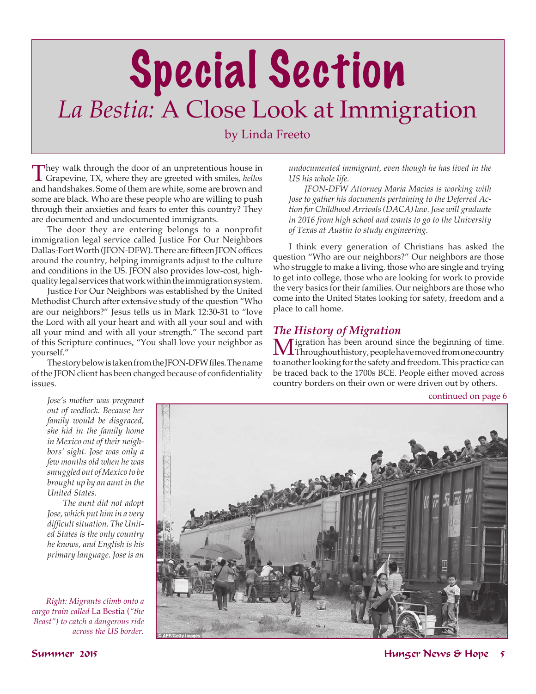# Special Section *La Bestia:* A Close Look at Immigration

by Linda Freeto

They walk through the door of an unpretentious house in Grapevine, TX, where they are greeted with smiles, *hellos* and handshakes. Some of them are white, some are brown and some are black. Who are these people who are willing to push through their anxieties and fears to enter this country? They are documented and undocumented immigrants.

The door they are entering belongs to a nonprofit immigration legal service called Justice For Our Neighbors Dallas-Fort Worth (JFON-DFW). There are fifteen JFON offices around the country, helping immigrants adjust to the culture and conditions in the US. JFON also provides low-cost, highquality legal services that work within the immigration system.

Justice For Our Neighbors was established by the United Methodist Church after extensive study of the question "Who are our neighbors?" Jesus tells us in Mark 12:30-31 to "love the Lord with all your heart and with all your soul and with all your mind and with all your strength." The second part of this Scripture continues, "You shall love your neighbor as yourself."

The story below is taken from the JFON-DFW files. The name of the JFON client has been changed because of confidentiality issues.

*undocumented immigrant, even though he has lived in the US his whole life.*

*JFON-DFW Attorney Maria Macias is working with Jose to gather his documents pertaining to the Deferred Action for Childhood Arrivals (DACA) law. Jose will graduate in 2016 from high school and wants to go to the University of Texas at Austin to study engineering.*

I think every generation of Christians has asked the question "Who are our neighbors?" Our neighbors are those who struggle to make a living, those who are single and trying to get into college, those who are looking for work to provide the very basics for their families. Our neighbors are those who come into the United States looking for safety, freedom and a place to call home.

*The History of Migration*<br>*N A I*gration has been around since the beginning of time. **M**igration has been around since the beginning of time.<br>Throughout history, people have moved from one country to another looking for the safety and freedom. This practice can be traced back to the 1700s BCE. People either moved across country borders on their own or were driven out by others.

continued on page 6

*Jose's mother was pregnant out of wedlock. Because her family would be disgraced, she hid in the family home in Mexico out of their neighbors' sight. Jose was only a few months old when he was smuggled out of Mexico to be brought up by an aunt in the United States.* 

*The aunt did not adopt Jose, which put him in a very difficult situation. The United States is the only country he knows, and English is his primary language. Jose is an* 

*Right: Migrants climb onto a cargo train called* La Bestia (*"the Beast") to catch a dangerous ride across the US border.* 

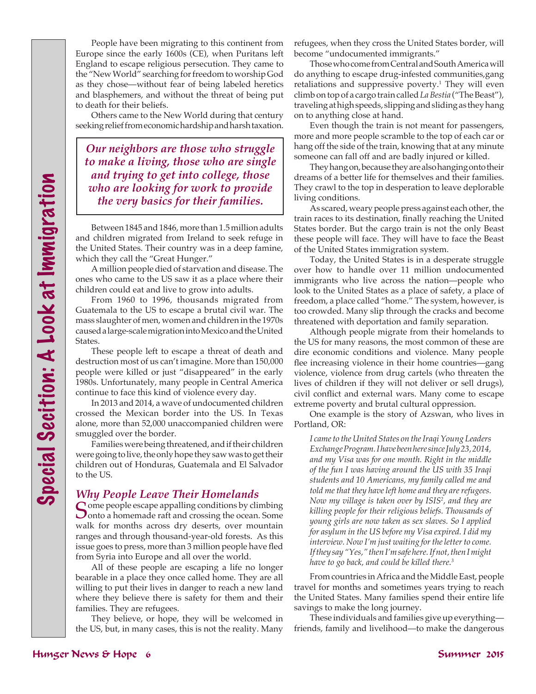People have been migrating to this continent from Europe since the early 1600s (CE), when Puritans left England to escape religious persecution. They came to the "New World" searching for freedom to worship God as they chose—without fear of being labeled heretics and blasphemers, and without the threat of being put to death for their beliefs.

Others came to the New World during that century seeking relief from economic hardship and harsh taxation.

*Our neighbors are those who struggle to make a living, those who are single and trying to get into college, those who are looking for work to provide the very basics for their families.* 

Between 1845 and 1846, more than 1.5 million adults and children migrated from Ireland to seek refuge in the United States. Their country was in a deep famine, which they call the "Great Hunger."

A million people died of starvation and disease. The ones who came to the US saw it as a place where their children could eat and live to grow into adults.

From 1960 to 1996, thousands migrated from Guatemala to the US to escape a brutal civil war. The mass slaughter of men, women and children in the 1970s caused a large-scale migration into Mexico and the United States.

These people left to escape a threat of death and destruction most of us can't imagine. More than 150,000 people were killed or just "disappeared" in the early 1980s. Unfortunately, many people in Central America continue to face this kind of violence every day.

In 2013 and 2014, a wave of undocumented children crossed the Mexican border into the US. In Texas alone, more than 52,000 unaccompanied children were smuggled over the border.

Families were being threatened, and if their children were going to live, the only hope they saw was to get their children out of Honduras, Guatemala and El Salvador to the US.

### *Why People Leave Their Homelands*

 $\bigcap$  ome people escape appalling conditions by climbing **O** onto a homemade raft and crossing the ocean. Some walk for months across dry deserts, over mountain ranges and through thousand-year-old forests. As this issue goes to press, more than 3 million people have fled from Syria into Europe and all over the world.

All of these people are escaping a life no longer bearable in a place they once called home. They are all willing to put their lives in danger to reach a new land where they believe there is safety for them and their families. They are refugees.

They believe, or hope, they will be welcomed in the US, but, in many cases, this is not the reality. Many refugees, when they cross the United States border, will become "undocumented immigrants."

Those who come from Central and South America will do anything to escape drug-infested communities,gang retaliations and suppressive poverty.<sup>1</sup> They will even climb on top of a cargo train called *La Bestia* ("The Beast"), traveling at high speeds, slipping and sliding as they hang on to anything close at hand.

Even though the train is not meant for passengers, more and more people scramble to the top of each car or hang off the side of the train, knowing that at any minute someone can fall off and are badly injured or killed.

They hang on, because they are also hanging onto their dreams of a better life for themselves and their families. They crawl to the top in desperation to leave deplorable living conditions.

As scared, weary people press against each other, the train races to its destination, finally reaching the United States border. But the cargo train is not the only Beast these people will face. They will have to face the Beast of the United States immigration system.

Today, the United States is in a desperate struggle over how to handle over 11 million undocumented immigrants who live across the nation—people who look to the United States as a place of safety, a place of freedom, a place called "home." The system, however, is too crowded. Many slip through the cracks and become threatened with deportation and family separation.

Although people migrate from their homelands to the US for many reasons, the most common of these are dire economic conditions and violence. Many people flee increasing violence in their home countries—gang violence, violence from drug cartels (who threaten the lives of children if they will not deliver or sell drugs), civil conflict and external wars. Many come to escape extreme poverty and brutal cultural oppression.

One example is the story of Azswan, who lives in Portland, OR:

**EVALUE THE CONSULTS INTERFERIGHT CONSULTS IN the CONSULTS INTERFERIGHT CONSULTS IN the CONSULTS IN the CONSULTS IN the CONSULTS IN the CONSULTS IN the CONSULTS IN the CONSULTS IN the CONSULTS IN the CONSULTS IN the CONSU** *I came to the United States on the Iraqi Young Leaders Exchange Program. I have been here since July 23, 2014, and my Visa was for one month. Right in the middle of the fun I was having around the US with 35 Iraqi students and 10 Americans, my family called me and told me that they have left home and they are refugees. Now my village is taken over by ISIS2 , and they are killing people for their religious beliefs. Thousands of young girls are now taken as sex slaves. So I applied for asylum in the US before my Visa expired. I did my interview. Now I'm just waiting for the letter to come. If they say "Yes," then I'm safe here. If not, then I might have to go back, and could be killed there.3*

From countries in Africa and the Middle East, people travel for months and sometimes years trying to reach the United States. Many families spend their entire life savings to make the long journey.

These individuals and families give up everything friends, family and livelihood—to make the dangerous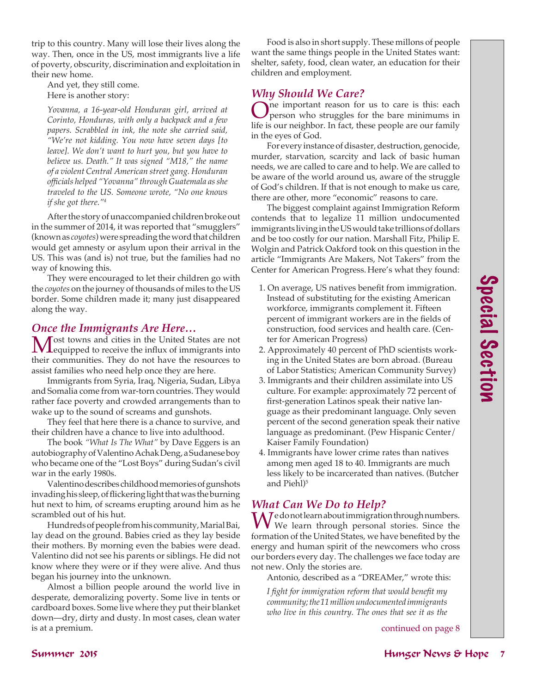trip to this country. Many will lose their lives along the way. Then, once in the US, most immigrants live a life of poverty, obscurity, discrimination and exploitation in their new home.

And yet, they still come. Here is another story:

*Yovanna, a 16-year-old Honduran girl, arrived at Corinto, Honduras, with only a backpack and a few papers. Scrabbled in ink, the note she carried said, "We're not kidding. You now have seven days [to leave]. We don't want to hurt you, but you have to believe us. Death." It was signed "M18," the name of a violent Central American street gang. Honduran officials helped "Yovanna" through Guatemala as she traveled to the US. Someone wrote, "No one knows if she got there."4*

After the story of unaccompanied children broke out in the summer of 2014, it was reported that "smugglers" (known as *coyotes*) were spreading the word that children would get amnesty or asylum upon their arrival in the US. This was (and is) not true, but the families had no way of knowing this.

They were encouraged to let their children go with the *coyotes* on the journey of thousands of miles to the US border. Some children made it; many just disappeared along the way.

### *Once the Immigrants Are Here…*

**M**ost towns and cities in the United States are not equipped to receive the influx of immigrants into their communities. They do not have the resources to assist families who need help once they are here.

Immigrants from Syria, Iraq, Nigeria, Sudan, Libya and Somalia come from war-torn countries. They would rather face poverty and crowded arrangements than to wake up to the sound of screams and gunshots.

They feel that here there is a chance to survive, and their children have a chance to live into adulthood.

The book *"What Is The What"* by Dave Eggers is an autobiography of Valentino Achak Deng, a Sudanese boy who became one of the "Lost Boys" during Sudan's civil war in the early 1980s.

Valentino describes childhood memories of gunshots invading his sleep, of flickering light that was the burning hut next to him, of screams erupting around him as he scrambled out of his hut.

Hundreds of people from his community, Marial Bai, lay dead on the ground. Babies cried as they lay beside their mothers. By morning even the babies were dead. Valentino did not see his parents or siblings. He did not know where they were or if they were alive. And thus began his journey into the unknown.

Almost a billion people around the world live in desperate, demoralizing poverty. Some live in tents or cardboard boxes. Some live where they put their blanket down—dry, dirty and dusty. In most cases, clean water is at a premium.

Food is also in short supply. These millons of people want the same things people in the United States want: shelter, safety, food, clean water, an education for their children and employment.

### *Why Should We Care?*

One important reason for us to care is this: each person who struggles for the bare minimums in life is our neighbor. In fact, these people are our family in the eyes of God.

For every instance of disaster, destruction, genocide, murder, starvation, scarcity and lack of basic human needs, we are called to care and to help. We are called to be aware of the world around us, aware of the struggle of God's children. If that is not enough to make us care, there are other, more "economic" reasons to care.

The biggest complaint against Immigration Reform contends that to legalize 11 million undocumented immigrants living in the US would take trillions of dollars and be too costly for our nation. Marshall Fitz, Philip E. Wolgin and Patrick Oakford took on this question in the article "Immigrants Are Makers, Not Takers" from the Center for American Progress. Here's what they found:

- 1. On average, US natives benefit from immigration. Instead of substituting for the existing American workforce, immigrants complement it. Fifteen percent of immigrant workers are in the fields of construction, food services and health care. (Center for American Progress)
- 2. Approximately 40 percent of PhD scientists working in the United States are born abroad. (Bureau of Labor Statistics; American Community Survey)
- They two encouraged to let their children in points. The consequent state of such a state of such a state of such a state of such a state of such a state of such a state of such a state of the consequent state in the burs 3. Immigrants and their children assimilate into US culture. For example: approximately 72 percent of first-generation Latinos speak their native language as their predominant language. Only seven percent of the second generation speak their native language as predominant. (Pew Hispanic Center/ Kaiser Family Foundation)
	- 4. Immigrants have lower crime rates than natives among men aged 18 to 40. Immigrants are much less likely to be incarcerated than natives. (Butcher and Piehl)<sup>5</sup>

## *What Can We Do to Help?*

 $M$ e do not learn about immigration through numbers. We learn through personal stories. Since the formation of the United States, we have benefited by the energy and human spirit of the newcomers who cross our borders every day. The challenges we face today are not new. Only the stories are.

Antonio, described as a "DREAMer," wrote this:

*I fight for immigration reform that would benefit my community; the 11 million undocumented immigrants who live in this country. The ones that see it as the* 

continued on page 8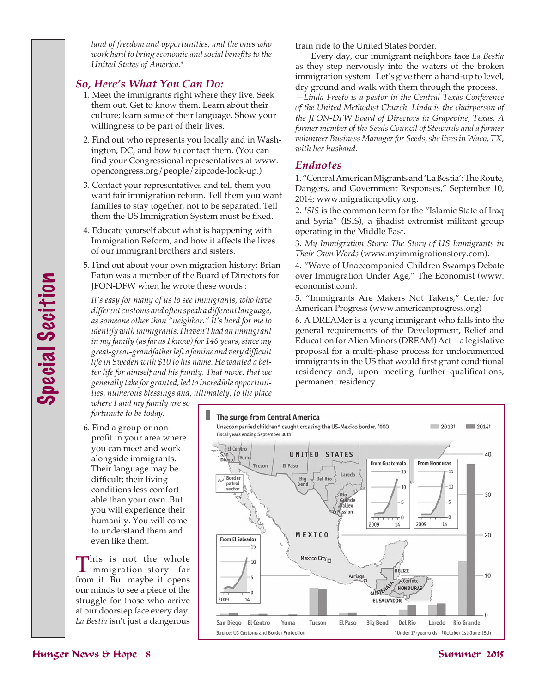*land of freedom and opportunities, and the ones who work hard to bring economic and social benefits to the United States of America.6*

### *So, Here's What You Can Do:*

- 1. Meet the immigrants right where they live. Seek them out. Get to know them. Learn about their culture; learn some of their language. Show your willingness to be part of their lives.
- 2. Find out who represents you locally and in Washington, DC, and how to contact them. (You can find your Congressional representatives at www. opencongress.org/people/zipcode-look-up.)
- 3. Contact your representatives and tell them you want fair immigration reform. Tell them you want families to stay together, not to be separated. Tell them the US Immigration System must be fixed.
- 4. Educate yourself about what is happening with Immigration Reform, and how it affects the lives of our immigrant brothers and sisters.
- 5. Find out about your own migration history: Brian Eaton was a member of the Board of Directors for JFON-DFW when he wrote these words :

*It's easy for many of us to see immigrants, who have different customs and often speak a different language, as someone other than "neighbor." It's hard for me to identify with immigrants. I haven't had an immigrant in my family (as far as I know) for 146 years, since my great-great-grandfather left a famine and very difficult life in Sweden with \$10 to his name. He wanted a better life for himself and his family. That move, that we generally take for granted, led to incredible opportunities, numerous blessings and, ultimately, to the place*  train ride to the United States border.

Every day, our immigrant neighbors face *La Bestia* as they step nervously into the waters of the broken immigration system. Let's give them a hand-up to level, dry ground and walk with them through the process.

*—Linda Freeto is a pastor in the Central Texas Conference of the United Methodist Church. Linda is the chairperson of the JFON-DFW Board of Directors in Grapevine, Texas. A former member of the Seeds Council of Stewards and a former volunteer Business Manager for Seeds, she lives in Waco, TX, with her husband.*

### *Endnotes*

1. "Central American Migrants and 'La Bestia': The Route, Dangers, and Government Responses," September 10, 2014; www.migrationpolicy.org.

2. *ISIS* is the common term for the "Islamic State of Iraq and Syria" (ISIS), a jihadist extremist militant group operating in the Middle East.

3. *My Immigration Story: The Story of US Immigrants in Their Own Words* (www.myimmigrationstory.com).

4. "Wave of Unaccompanied Children Swamps Debate over Immigration Under Age," The Economist (www. economist.com).

5. "Immigrants Are Makers Not Takers," Center for American Progress (www.americanprogress.org)

6. A DREAMer is a young immigrant who falls into the general requirements of the Development, Relief and Education for Alien Minors (DREAM) Act—a legislative proposal for a multi-phase process for undocumented immigrants in the US that would first grant conditional residency and, upon meeting further qualifications, permanent residency.

*where I and my family are so fortunate to be today.*

6. Find a group or nonprofit in your area where you can meet and work alongside immigrants. Their language may be difficult; their living conditions less comfortable than your own. But you will experience their humanity. You will come to understand them and even like them.

This is not the whole<br>immigration story—far from it. But maybe it opens our minds to see a piece of the struggle for those who arrive at our doorstep face every day. *La Bestia* isn't just a dangerous

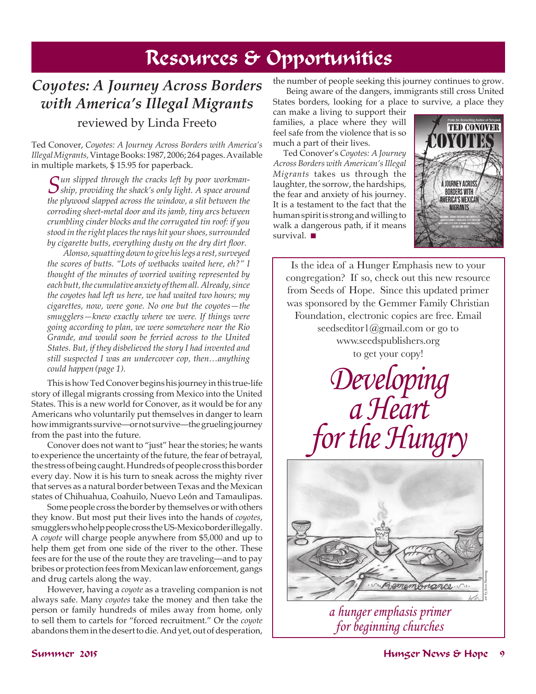# Resources & Opportunities

# *Coyotes: A Journey Across Borders with America's Illegal Migrants* reviewed by Linda Freeto

Ted Conover, *Coyotes: A Journey Across Borders with America's Illegal Migrants,* Vintage Books: 1987, 2006; 264 pages. Available in multiple markets, \$ 15.95 for paperback.

*Sun slipped through the cracks left by poor workman-ship, providing the shack's only light. A space around the plywood slapped across the window, a slit between the corroding sheet-metal door and its jamb, tiny arcs between crumbling cinder blocks and the corrugated tin roof: if you stood in the right places the rays hit your shoes, surrounded by cigarette butts, everything dusty on the dry dirt floor.*

*Alonso, squatting down to give his legs a rest, surveyed the scores of butts. "Lots of wetbacks waited here, eh?" I thought of the minutes of worried waiting represented by each butt, the cumulative anxiety of them all. Already, since the coyotes had left us here, we had waited two hours; my cigarettes, now, were gone. No one but the coyotes—the smugglers—knew exactly where we were. If things were going according to plan, we were somewhere near the Rio Grande, and would soon be ferried across to the United States. But, if they disbelieved the story I had invented and still suspected I was an undercover cop, then…anything could happen (page 1).*

This is how Ted Conover begins his journey in this true-life story of illegal migrants crossing from Mexico into the United States. This is a new world for Conover, as it would be for any Americans who voluntarily put themselves in danger to learn how immigrants survive—or not survive—the grueling journey from the past into the future.

Conover does not want to "just" hear the stories; he wants to experience the uncertainty of the future, the fear of betrayal, the stress of being caught. Hundreds of people cross this border every day. Now it is his turn to sneak across the mighty river that serves as a natural border between Texas and the Mexican states of Chihuahua, Coahuilo, Nuevo León and Tamaulipas.

Some people cross the border by themselves or with others they know. But most put their lives into the hands of *coyotes*, smugglers who help people cross the US-Mexico border illegally. A *coyote* will charge people anywhere from \$5,000 and up to help them get from one side of the river to the other. These fees are for the use of the route they are traveling—and to pay bribes or protection fees from Mexican law enforcement, gangs and drug cartels along the way.

However, having a *coyote* as a traveling companion is not always safe. Many *coyotes* take the money and then take the person or family hundreds of miles away from home, only to sell them to cartels for "forced recruitment." Or the *coyote* abandons them in the desert to die. And yet, out of desperation,

the number of people seeking this journey continues to grow.

 Being aware of the dangers, immigrants still cross United States borders, looking for a place to survive, a place they

can make a living to support their families, a place where they will feel safe from the violence that is so much a part of their lives.

 Ted Conover's *Coyotes: A Journey Across Borders with American's Illegal Migrants* takes us through the laughter, the sorrow, the hardships, the fear and anxiety of his journey. It is a testament to the fact that the human spirit is strong and willing to walk a dangerous path, if it means survival.  $\blacksquare$ 



Is the idea of a Hunger Emphasis new to your congregation? If so, check out this new resource from Seeds of Hope. Since this updated primer was sponsored by the Gemmer Family Christian Foundation, electronic copies are free. Email seedseditor1@gmail.com or go to www.seedspublishers.org to get your copy!





*a hunger emphasis primer for beginning churches*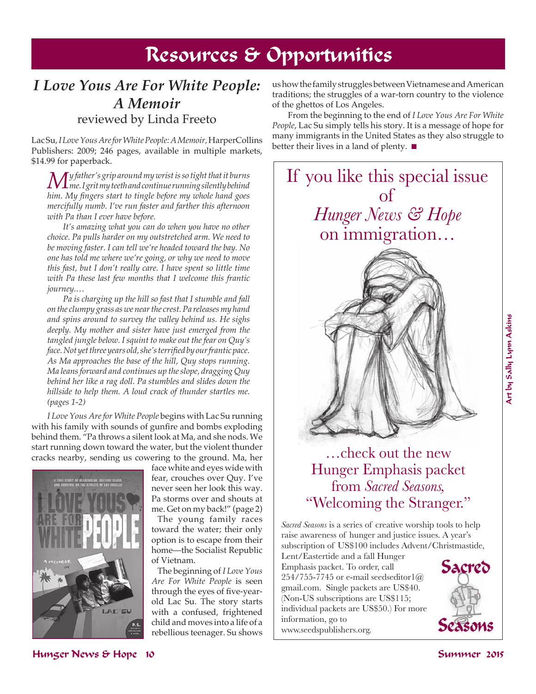# Resources & Opportunities

# *I Love Yous Are For White People: A Memoir* reviewed by Linda Freeto

Lac Su*, I Love Yous Are for White People: A Memoir,* HarperCollins Publishers: 2009; 246 pages, available in multiple markets, \$14.99 for paperback.

*My father's grip around my wrist is so tight that it burns me. I grit my teeth and continue running silently behind him. My fingers start to tingle before my whole hand goes mercifully numb. I've run faster and farther this afternoon with Pa than I ever have before.*

*It's amazing what you can do when you have no other choice. Pa pulls harder on my outstretched arm. We need to be moving faster. I can tell we're headed toward the bay. No one has told me where we're going, or why we need to move this fast, but I don't really care. I have spent so little time with Pa these last few months that I welcome this frantic journey.…* 

*Pa is charging up the hill so fast that I stumble and fall on the clumpy grass as we near the crest. Pa releases my hand and spins around to survey the valley behind us. He sighs deeply. My mother and sister have just emerged from the tangled jungle below. I squint to make out the fear on Quy's face. Not yet three years old, she's terrified by our frantic pace. As Ma approaches the base of the hill, Quy stops running. Ma leans forward and continues up the slope, dragging Quy behind her like a rag doll. Pa stumbles and slides down the hillside to help them. A loud crack of thunder startles me. (pages 1-2)*

*I Love Yous Are for White People* begins with Lac Su running with his family with sounds of gunfire and bombs exploding behind them. "Pa throws a silent look at Ma, and she nods. We start running down toward the water, but the violent thunder cracks nearby, sending us cowering to the ground. Ma, her



face white and eyes wide with fear, crouches over Quy. I've never seen her look this way. Pa storms over and shouts at me. Get on my back!" (page 2)

The young family races toward the water; their only option is to escape from their home—the Socialist Republic of Vietnam.

The beginning of *I Love Yous Are For White People* is seen through the eyes of five-yearold Lac Su. The story starts with a confused, frightened child and moves into a life of a rebellious teenager. Su shows us how the family struggles between Vietnamese and American traditions; the struggles of a war-torn country to the violence of the ghettos of Los Angeles.

From the beginning to the end of *I Love Yous Are For White People*, Lac Su simply tells his story. It is a message of hope for many immigrants in the United States as they also struggle to better their lives in a land of plenty.  $\blacksquare$ 



…check out the new Hunger Emphasis packet from *Sacred Seasons,* "Welcoming the Stranger."

*Sacred Seasons* is a series of creative worship tools to help raise awareness of hunger and justice issues. A year's subscription of US\$100 includes Advent/Christmastide,

Lent/Eastertide and a fall Hunger Emphasis packet. To order, call 254/755-7745 or e-mail seedseditor1@ gmail.com. Single packets are US\$40. (Non-US subscriptions are US\$115; individual packets are US\$50.) For more information, go to www.seedspublishers.org.



Hunger News & Hope 10 Summer 2015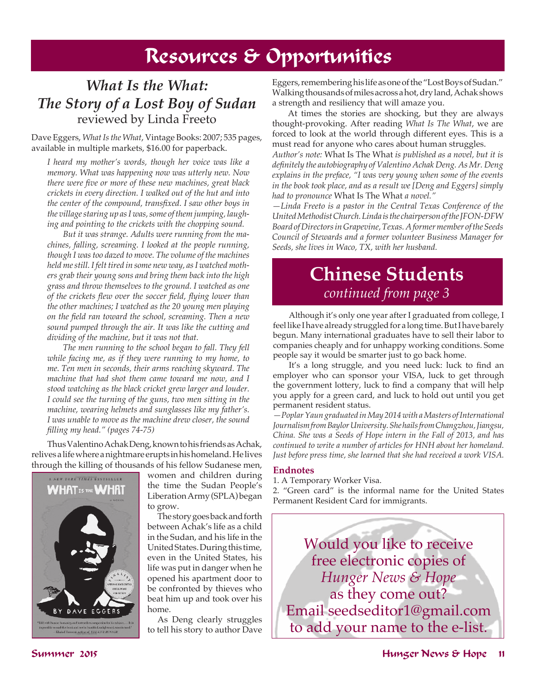# Resources & Opportunities

# *What Is the What: The Story of a Lost Boy of Sudan* reviewed by Linda Freeto

Dave Eggers, *What Is the What*, Vintage Books: 2007; 535 pages, available in multiple markets, \$16.00 for paperback.

*I heard my mother's words, though her voice was like a memory. What was happening now was utterly new. Now there were five or more of these new machines, great black crickets in every direction. I walked out of the hut and into the center of the compound, transfixed. I saw other boys in the village staring up as I was, some of them jumping, laughing and pointing to the crickets with the chopping sound.*

*But it was strange. Adults were running from the machines, falling, screaming. I looked at the people running, though I was too dazed to move. The volume of the machines held me still. I felt tired in some new way, as I watched mothers grab their young sons and bring them back into the high grass and throw themselves to the ground. I watched as one of the crickets flew over the soccer field, flying lower than the other machines; I watched as the 20 young men playing on the field ran toward the school, screaming. Then a new sound pumped through the air. It was like the cutting and dividing of the machine, but it was not that.*

*The men running to the school began to fall. They fell while facing me, as if they were running to my home, to me. Ten men in seconds, their arms reaching skyward. The machine that had shot them came toward me now, and I stood watching as the black cricket grew larger and louder. I could see the turning of the guns, two men sitting in the machine, wearing helmets and sunglasses like my father's. I was unable to move as the machine drew closer, the sound filling my head." (pages 74-75)*

Thus Valentino Achak Deng, known to his friends as Achak, relives a life where a nightmare erupts in his homeland. He lives through the killing of thousands of his fellow Sudanese men,



women and children during the time the Sudan People's Liberation Army (SPLA) began to grow.

The story goes back and forth between Achak's life as a child in the Sudan, and his life in the United States. During this time, even in the United States, his life was put in danger when he opened his apartment door to be confronted by thieves who beat him up and took over his home.

As Deng clearly struggles to tell his story to author Dave

Eggers, remembering his life as one of the "Lost Boys of Sudan." Walking thousands of miles across a hot, dry land, Achak shows a strength and resiliency that will amaze you.

At times the stories are shocking, but they are always thought-provoking. After reading *What Is The What*, we are forced to look at the world through different eyes. This is a must read for anyone who cares about human struggles.

*Author's note:* What Is The What *is published as a novel, but it is definitely the autobiography of Valentino Achak Deng. As Mr. Deng explains in the preface, "I was very young when some of the events in the book took place, and as a result we [Deng and Eggers] simply had to pronounce* What Is The What *a novel."* 

*—Linda Freeto is a pastor in the Central Texas Conference of the United Methodist Church. Linda is the chairperson of the JFON-DFW Board of Directors in Grapevine, Texas. A former member of the Seeds Council of Stewards and a former volunteer Business Manager for Seeds, she lives in Waco, TX, with her husband.*

# **Chinese Students** *continued from page 3*

Although it's only one year after I graduated from college, I feel like I have already struggled for a long time. But I have barely begun. Many international graduates have to sell their labor to companies cheaply and for unhappy working conditions. Some people say it would be smarter just to go back home.

It's a long struggle, and you need luck: luck to find an employer who can sponsor your VISA, luck to get through the government lottery, luck to find a company that will help you apply for a green card, and luck to hold out until you get permanent resident status.

*—Poplar Yaun graduated in May 2014 with a Masters of International Journalism from Baylor University. She hails from Changzhou, Jiangsu, China. She was a Seeds of Hope intern in the Fall of 2013, and has continued to write a number of articles for HNH about her homeland. Just before press time, she learned that she had received a work VISA.* 

### **Endnotes**

1. A Temporary Worker Visa.

2. "Green card" is the informal name for the United States Permanent Resident Card for immigrants.

Would you like to receive free electronic copies of *Hunger News & Hope* as they come out? Email seedseditor1@gmail.com to add your name to the e-list.